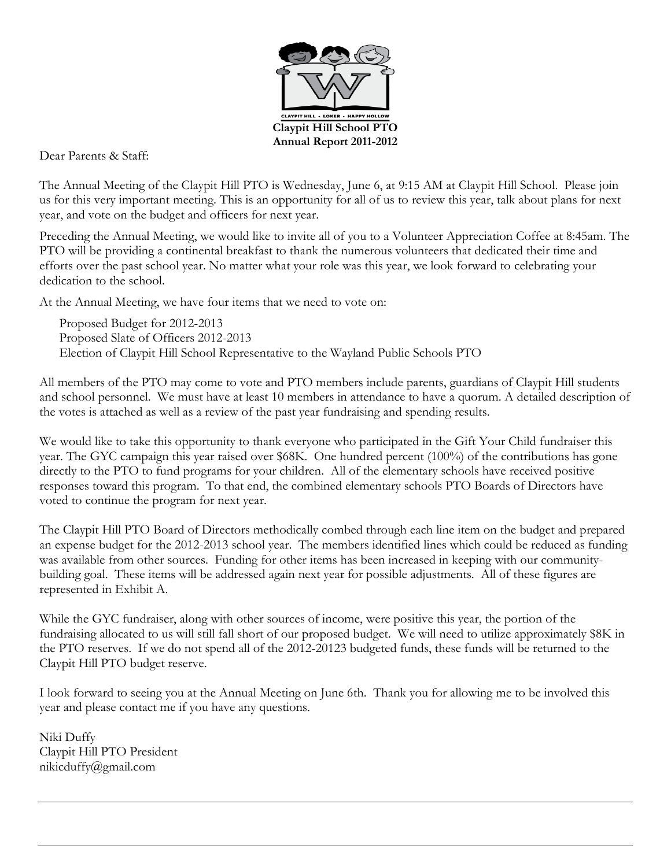

Dear Parents & Staff:

The Annual Meeting of the Claypit Hill PTO is Wednesday, June 6, at 9:15 AM at Claypit Hill School. Please join us for this very important meeting. This is an opportunity for all of us to review this year, talk about plans for next year, and vote on the budget and officers for next year.

Preceding the Annual Meeting, we would like to invite all of you to a Volunteer Appreciation Coffee at 8:45am. The PTO will be providing a continental breakfast to thank the numerous volunteers that dedicated their time and efforts over the past school year. No matter what your role was this year, we look forward to celebrating your dedication to the school.

At the Annual Meeting, we have four items that we need to vote on:

Proposed Budget for 2012-2013 Proposed Slate of Officers 2012-2013 Election of Claypit Hill School Representative to the Wayland Public Schools PTO

All members of the PTO may come to vote and PTO members include parents, guardians of Claypit Hill students and school personnel. We must have at least 10 members in attendance to have a quorum. A detailed description of the votes is attached as well as a review of the past year fundraising and spending results.

We would like to take this opportunity to thank everyone who participated in the Gift Your Child fundraiser this year. The GYC campaign this year raised over \$68K. One hundred percent (100%) of the contributions has gone directly to the PTO to fund programs for your children. All of the elementary schools have received positive responses toward this program. To that end, the combined elementary schools PTO Boards of Directors have voted to continue the program for next year.

The Claypit Hill PTO Board of Directors methodically combed through each line item on the budget and prepared an expense budget for the 2012-2013 school year. The members identified lines which could be reduced as funding was available from other sources. Funding for other items has been increased in keeping with our communitybuilding goal. These items will be addressed again next year for possible adjustments. All of these figures are represented in Exhibit A.

While the GYC fundraiser, along with other sources of income, were positive this year, the portion of the fundraising allocated to us will still fall short of our proposed budget. We will need to utilize approximately \$8K in the PTO reserves. If we do not spend all of the 2012-20123 budgeted funds, these funds will be returned to the Claypit Hill PTO budget reserve.

I look forward to seeing you at the Annual Meeting on June 6th. Thank you for allowing me to be involved this year and please contact me if you have any questions.

Niki Duffy Claypit Hill PTO President nikicduffy@gmail.com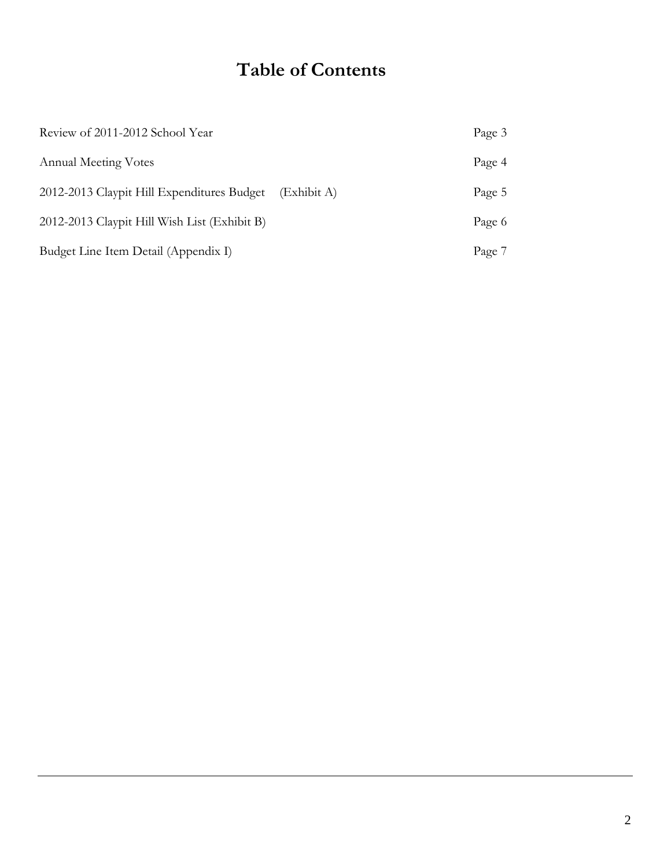# **Table of Contents**

| Review of 2011-2012 School Year              |             | Page 3 |
|----------------------------------------------|-------------|--------|
| <b>Annual Meeting Votes</b>                  |             | Page 4 |
| 2012-2013 Claypit Hill Expenditures Budget   | (Exhibit A) | Page 5 |
| 2012-2013 Claypit Hill Wish List (Exhibit B) |             | Page 6 |
| Budget Line Item Detail (Appendix I)         |             | Page 7 |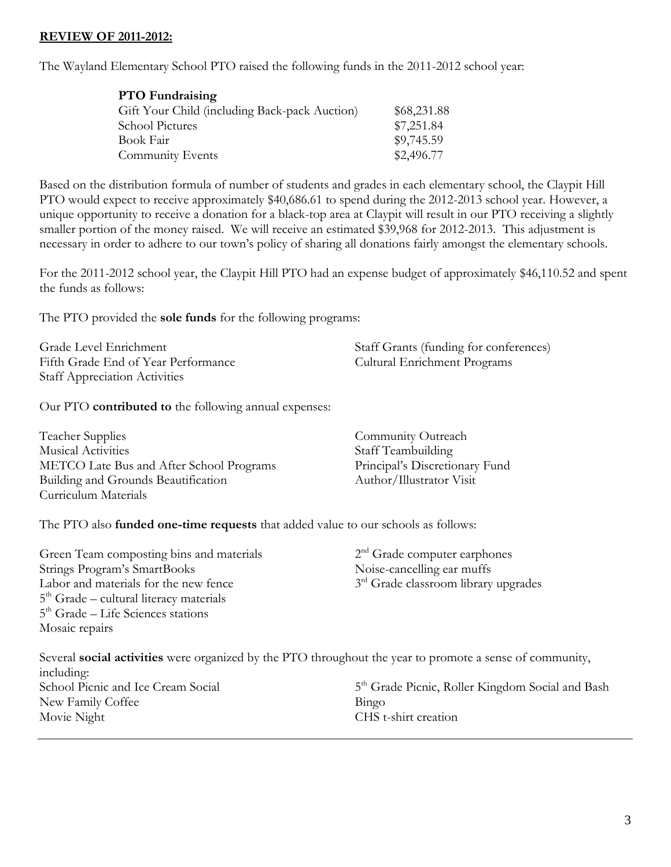### **REVIEW OF 2011-2012:**

The Wayland Elementary School PTO raised the following funds in the 2011-2012 school year:

| <b>PTO</b> Fundraising                        |             |
|-----------------------------------------------|-------------|
| Gift Your Child (including Back-pack Auction) | \$68,231.88 |
| <b>School Pictures</b>                        | \$7,251.84  |
| Book Fair                                     | \$9,745.59  |
| Community Events                              | \$2,496.77  |

Based on the distribution formula of number of students and grades in each elementary school, the Claypit Hill PTO would expect to receive approximately \$40,686.61 to spend during the 2012-2013 school year. However, a unique opportunity to receive a donation for a black-top area at Claypit will result in our PTO receiving a slightly smaller portion of the money raised. We will receive an estimated \$39,968 for 2012-2013. This adjustment is necessary in order to adhere to our town's policy of sharing all donations fairly amongst the elementary schools.

For the 2011-2012 school year, the Claypit Hill PTO had an expense budget of approximately \$46,110.52 and spent the funds as follows:

The PTO provided the **sole funds** for the following programs:

| Grade Level Enrichment               | Staff Grants (funding for conferences) |
|--------------------------------------|----------------------------------------|
| Fifth Grade End of Year Performance  | <b>Cultural Enrichment Programs</b>    |
| <b>Staff Appreciation Activities</b> |                                        |

Our PTO **contributed to** the following annual expenses:

| Teacher Supplies                         | Community Outreach             |
|------------------------------------------|--------------------------------|
| <b>Musical Activities</b>                | Staff Teambuilding             |
| METCO Late Bus and After School Programs | Principal's Discretionary Fund |
| Building and Grounds Beautification      | Author/Illustrator Visit       |
| Curriculum Materials                     |                                |

The PTO also **funded one-time requests** that added value to our schools as follows:

| Green Team composting bins and materials  | $2nd$ Grade computer earphones                   |
|-------------------------------------------|--------------------------------------------------|
| Strings Program's SmartBooks              | Noise-cancelling ear muffs                       |
| Labor and materials for the new fence     | 3 <sup>rd</sup> Grade classroom library upgrades |
| $5th$ Grade – cultural literacy materials |                                                  |
| $5th$ Grade – Life Sciences stations      |                                                  |
| Mosaic repairs                            |                                                  |

Several **social activities** were organized by the PTO throughout the year to promote a sense of community, including: School Picnic and Ice Cream Social 5<sup>th</sup> Grade Picnic, Roller Kingdom Social and Bash New Family Coffee Bingo Movie Night CHS t-shirt creation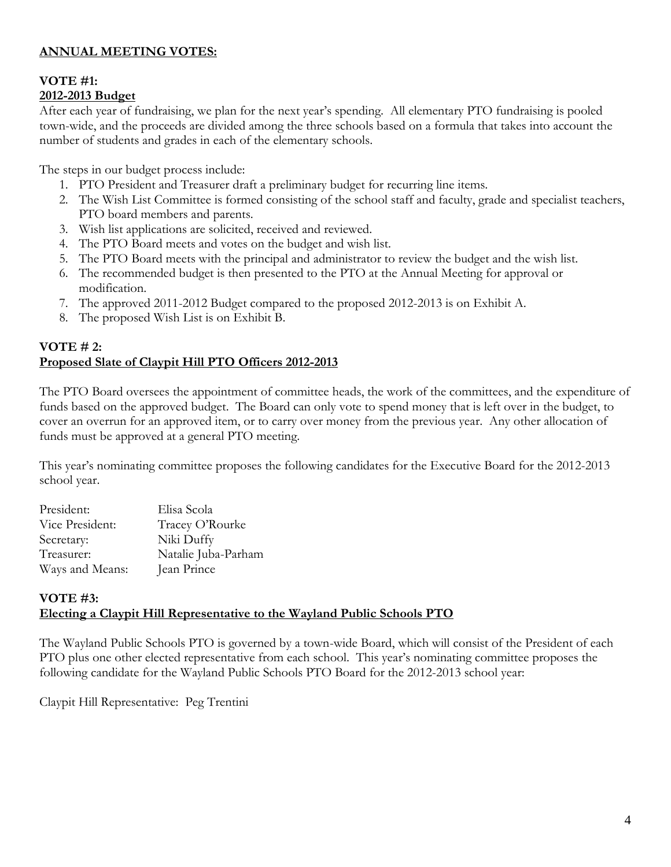## **ANNUAL MEETING VOTES:**

## **VOTE #1: 2012-2013 Budget**

After each year of fundraising, we plan for the next year's spending. All elementary PTO fundraising is pooled town-wide, and the proceeds are divided among the three schools based on a formula that takes into account the number of students and grades in each of the elementary schools.

The steps in our budget process include:

- 1. PTO President and Treasurer draft a preliminary budget for recurring line items.
- 2. The Wish List Committee is formed consisting of the school staff and faculty, grade and specialist teachers, PTO board members and parents.
- 3. Wish list applications are solicited, received and reviewed.
- 4. The PTO Board meets and votes on the budget and wish list.
- 5. The PTO Board meets with the principal and administrator to review the budget and the wish list.
- 6. The recommended budget is then presented to the PTO at the Annual Meeting for approval or modification.
- 7. The approved 2011-2012 Budget compared to the proposed 2012-2013 is on Exhibit A.
- 8. The proposed Wish List is on Exhibit B.

## **VOTE # 2: Proposed Slate of Claypit Hill PTO Officers 2012-2013**

The PTO Board oversees the appointment of committee heads, the work of the committees, and the expenditure of funds based on the approved budget. The Board can only vote to spend money that is left over in the budget, to cover an overrun for an approved item, or to carry over money from the previous year. Any other allocation of funds must be approved at a general PTO meeting.

This year's nominating committee proposes the following candidates for the Executive Board for the 2012-2013 school year.

| President:      | Elisa Scola         |
|-----------------|---------------------|
| Vice President: | Tracey O'Rourke     |
| Secretary:      | Niki Duffy          |
| Treasurer:      | Natalie Juba-Parham |
| Ways and Means: | Jean Prince         |

## **VOTE #3: Electing a Claypit Hill Representative to the Wayland Public Schools PTO**

The Wayland Public Schools PTO is governed by a town-wide Board, which will consist of the President of each PTO plus one other elected representative from each school. This year's nominating committee proposes the following candidate for the Wayland Public Schools PTO Board for the 2012-2013 school year:

Claypit Hill Representative: Peg Trentini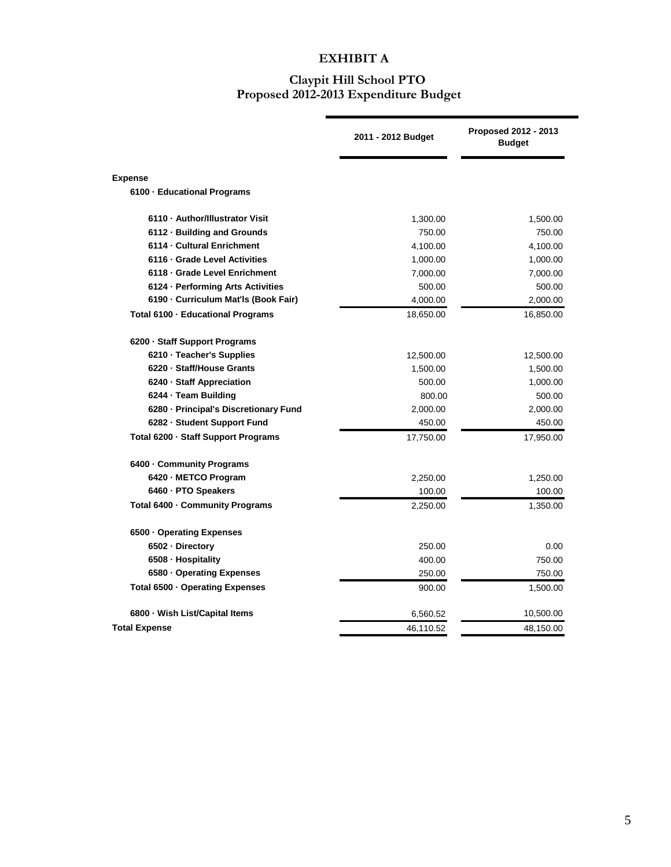## **EXHIBIT A**

#### **Claypit Hill School PTO Proposed 2012-2013 Expenditure Budget**

 $\blacksquare$ 

|                                       | 2011 - 2012 Budget | <b>Proposed 2012 - 2013</b><br><b>Budget</b> |
|---------------------------------------|--------------------|----------------------------------------------|
| <b>Expense</b>                        |                    |                                              |
| 6100 · Educational Programs           |                    |                                              |
| 6110 - Author/Illustrator Visit       | 1,300.00           | 1,500.00                                     |
| 6112 · Building and Grounds           | 750.00             | 750.00                                       |
| 6114 - Cultural Enrichment            | 4,100.00           | 4,100.00                                     |
| 6116 · Grade Level Activities         | 1,000.00           | 1,000.00                                     |
| 6118 - Grade Level Enrichment         | 7,000.00           | 7,000.00                                     |
| 6124 · Performing Arts Activities     | 500.00             | 500.00                                       |
| 6190 - Curriculum Mat'ls (Book Fair)  | 4,000.00           | 2,000.00                                     |
| Total 6100 - Educational Programs     | 18,650.00          | 16,850.00                                    |
| 6200 - Staff Support Programs         |                    |                                              |
| 6210 · Teacher's Supplies             | 12,500.00          | 12,500.00                                    |
| 6220 · Staff/House Grants             | 1,500.00           | 1,500.00                                     |
| 6240 - Staff Appreciation             | 500.00             | 1,000.00                                     |
| 6244 · Team Building                  | 800.00             | 500.00                                       |
| 6280 - Principal's Discretionary Fund | 2,000.00           | 2,000.00                                     |
| 6282 - Student Support Fund           | 450.00             | 450.00                                       |
| Total 6200 - Staff Support Programs   | 17,750.00          | 17,950.00                                    |
| 6400 - Community Programs             |                    |                                              |
| 6420 - METCO Program                  | 2,250.00           | 1,250.00                                     |
| 6460 · PTO Speakers                   | 100.00             | 100.00                                       |
| Total 6400 · Community Programs       | 2,250.00           | 1,350.00                                     |
| 6500 Operating Expenses               |                    |                                              |
| 6502 - Directory                      | 250.00             | 0.00                                         |
| 6508 - Hospitality                    | 400.00             | 750.00                                       |
| 6580 · Operating Expenses             | 250.00             | 750.00                                       |
| Total 6500 · Operating Expenses       | 900.00             | 1,500.00                                     |
| 6800 · Wish List/Capital Items        | 6,560.52           | 10,500.00                                    |
| <b>Total Expense</b>                  | 46,110.52          | 48,150.00                                    |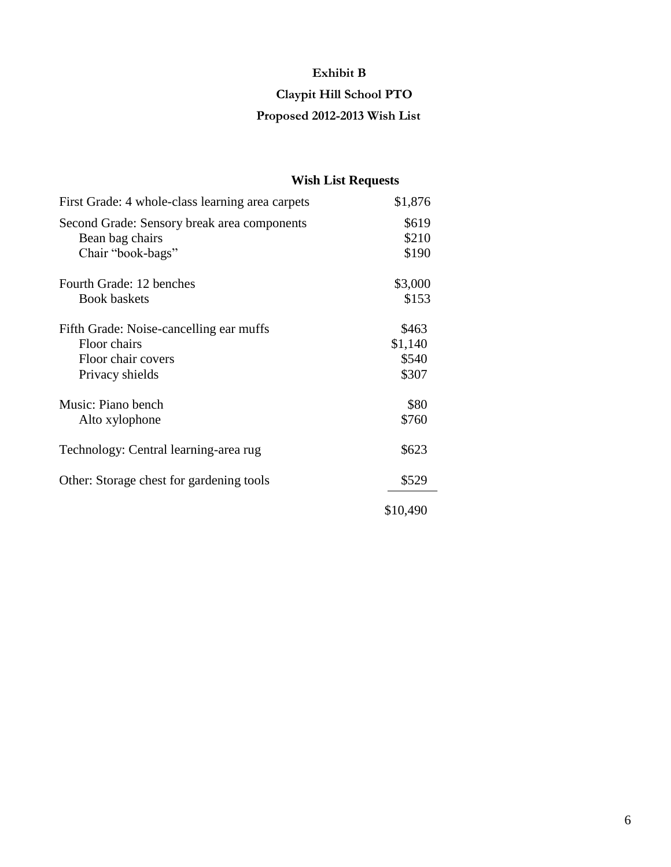## **Exhibit B**

## **Claypit Hill School PTO**

## **Proposed 2012-2013 Wish List**

## **Wish List Requests**

| First Grade: 4 whole-class learning area carpets | \$1,876  |
|--------------------------------------------------|----------|
| Second Grade: Sensory break area components      | \$619    |
| Bean bag chairs                                  | \$210    |
| Chair "book-bags"                                | \$190    |
| Fourth Grade: 12 benches                         | \$3,000  |
| <b>Book baskets</b>                              | \$153    |
| Fifth Grade: Noise-cancelling ear muffs          | \$463    |
| Floor chairs                                     | \$1,140  |
| Floor chair covers                               | \$540    |
| Privacy shields                                  | \$307    |
| Music: Piano bench                               | \$80     |
| Alto xylophone                                   | \$760    |
| Technology: Central learning-area rug            | \$623    |
| Other: Storage chest for gardening tools         | \$529    |
|                                                  | \$10,490 |